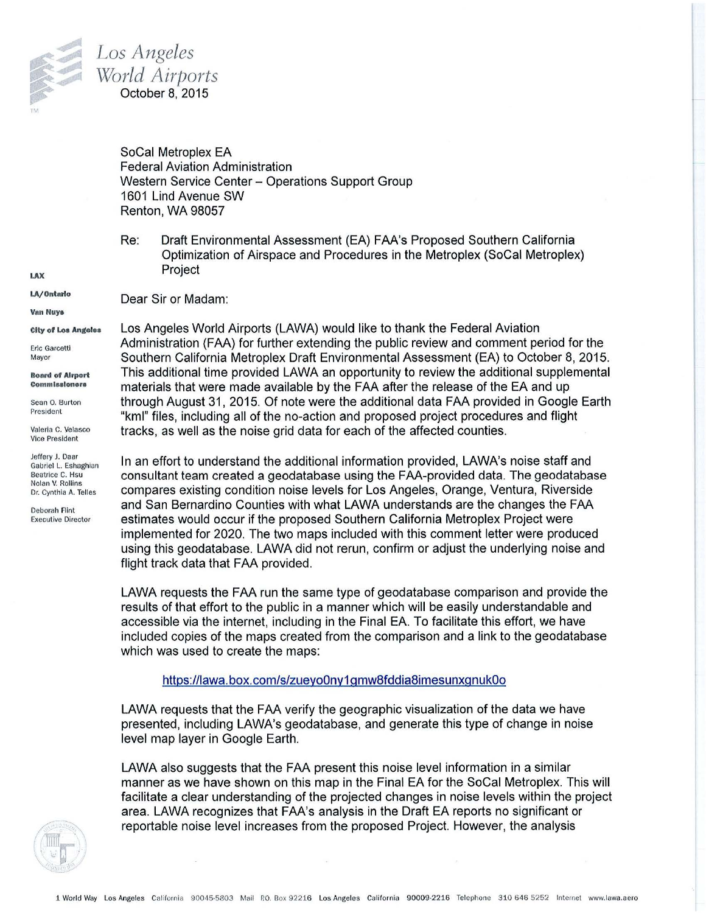

Dear Sir or Madam:

SoCal Metroplex EA Federal Aviation Administration Western Service Center - Operations Support Group 1601 Lind Avenue SW Renton, WA 98057

Re: Draft Environmental Assessment (EA) FAA's Proposed Southern California Optimization of Airspace and Procedures in the Metroplex (SoCal Metroplex) Project

LA/ Ontario

Van Nuya

LAX

City of Los Angeles

Eric Garcetti Mayor

Boanl of Airport Commissioners

Sean 0. Burton President

Valeria C. Velasco Vice President

Jeffery J. Daar Gabriel L. Eshaghian Beatrice C. Hsu Nolan V. Rollins Dr. Cynthia A. Telles

Deborah Rint Executive Director Los Angeles World Airports (LAWA) would like to thank the Federal Aviation Administration (FAA) for further extending the public review and comment period for the Southern California Metroplex Draft Environmental Assessment (EA) to October 8, 2015. This additional time provided LAWA an opportunity to review the additional supplemental materials that were made available by the FAA after the release of the EA and up through August 31, 2015. Of note were the additional data FAA provided in Google Earth "kml" files, including all of the no-action and proposed project procedures and flight tracks, as well as the noise grid data for each of the affected counties.

In an effort to understand the additional information provided, LAWA's noise staff and consultant team created a geodatabase using the FAA-provided data. The geodatabase compares existing condition noise levels for Los Angeles, Orange, Ventura, Riverside and San Bernardino Counties with what LAWA understands are the changes the FAA estimates would occur if the proposed Southern California Metroplex Project were implemented for 2020. The two maps included with this comment letter were produced using this geodatabase. LAWA did not rerun, confirm or adjust the underlying noise and flight track data that FAA provided.

LAWA requests the FAA run the same type of geodatabase comparison and provide the results of that effort to the public in a manner which will be easily understandable and accessible via the internet, including in the Final EA. To facilitate this effort, we have included copies of the maps created from the comparison and a link to the geodatabase which was used to create the maps:

## https://lawa.box.com/s/zueyo0ny1gmw8fddia8imesunxgnuk0o

LAWA requests that the FAA verify the geographic visualization of the data we have presented, including LAWA's geodatabase, and generate this type of change in noise level map layer in Google Earth.

LAWA also suggests that the FAA present this noise level information in a similar manner as we have shown on this map in the Final EA for the SoCal Metroplex. This will facilitate a clear understanding of the projected changes in noise levels within the project area. LAWA recognizes that FAA's analysis in the Draft EA reports no significant or reportable noise level increases from the proposed Project. However, the analysis